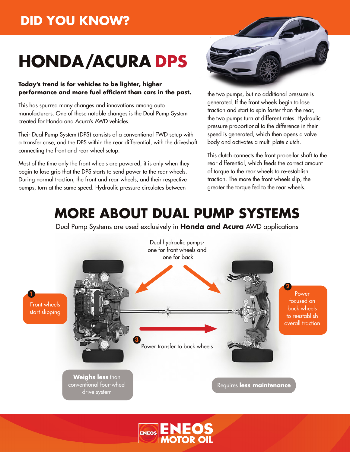### **DID YOU KNOW?**

# **HONDA/ACURA DPS**

#### **Today's trend is for vehicles to be lighter, higher performance and more fuel efficient than cars in the past.**

This has spurred many changes and innovations among auto manufacturers. One of these notable changes is the Dual Pump System created for Honda and Acura's AWD vehicles.

Their Dual Pump System (DPS) consists of a conventional FWD setup with a transfer case, and the DPS within the rear differential, with the driveshaft connecting the front and rear wheel setup.

Most of the time only the front wheels are powered; it is only when they begin to lose grip that the DPS starts to send power to the rear wheels. During normal traction, the front and rear wheels, and their respective pumps, turn at the same speed. Hydraulic pressure circulates between



the two pumps, but no additional pressure is generated. If the front wheels begin to lose traction and start to spin faster than the rear, the two pumps turn at different rates. Hydraulic pressure proportional to the difference in their speed is generated, which then opens a valve body and activates a multi plate clutch.

This clutch connects the front propellor shaft to the rear differential, which feeds the correct amount of torque to the rear wheels to re-establish traction. The more the front wheels slip, the greater the torque fed to the rear wheels.

## **MORE ABOUT DUAL PUMP SYSTEMS**

Dual Pump Systems are used exclusively in **Honda and Acura** AWD applications